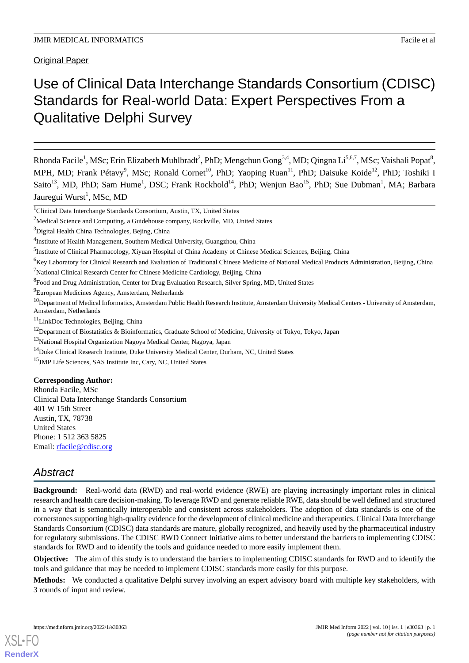Original Paper

# Use of Clinical Data Interchange Standards Consortium (CDISC) Standards for Real-world Data: Expert Perspectives From a Qualitative Delphi Survey

Rhonda Facile<sup>1</sup>, MSc; Erin Elizabeth Muhlbradt<sup>2</sup>, PhD; Mengchun Gong<sup>3,4</sup>, MD; Qingna Li<sup>5,6,7</sup>, MSc; Vaishali Popat<sup>8</sup>, MPH, MD; Frank Pétavy<sup>9</sup>, MSc; Ronald Cornet<sup>10</sup>, PhD; Yaoping Ruan<sup>11</sup>, PhD; Daisuke Koide<sup>12</sup>, PhD; Toshiki I Saito<sup>13</sup>, MD, PhD; Sam Hume<sup>1</sup>, DSC; Frank Rockhold<sup>14</sup>, PhD; Wenjun Bao<sup>15</sup>, PhD; Sue Dubman<sup>1</sup>, MA; Barbara Jauregui Wurst<sup>1</sup>, MSc, MD

<sup>1</sup>Clinical Data Interchange Standards Consortium, Austin, TX, United States

 $2$ Medical Science and Computing, a Guidehouse company, Rockville, MD, United States

<sup>3</sup>Digital Health China Technologies, Bejing, China

<sup>5</sup>Institute of Clinical Pharmacology, Xiyuan Hospital of China Academy of Chinese Medical Sciences, Beijing, China

<sup>6</sup>Key Laboratory for Clinical Research and Evaluation of Traditional Chinese Medicine of National Medical Products Administration, Beijing, China

 $<sup>7</sup>$ National Clinical Research Center for Chinese Medicine Cardiology, Beijing, China</sup>

<sup>8</sup> Food and Drug Administration, Center for Drug Evaluation Research, Silver Spring, MD, United States

<sup>9</sup>European Medicines Agency, Amsterdam, Netherlands

 $10$ Department of Medical Informatics, Amsterdam Public Health Research Institute, Amsterdam University Medical Centers - University of Amsterdam, Amsterdam, Netherlands

 $11$ LinkDoc Technologies, Beijing, China

<sup>12</sup>Department of Biostatistics & Bioinformatics, Graduate School of Medicine, University of Tokyo, Tokyo, Japan

<sup>13</sup>National Hospital Organization Nagoya Medical Center, Nagoya, Japan

<sup>14</sup>Duke Clinical Research Institute, Duke University Medical Center, Durham, NC, United States

<sup>15</sup>JMP Life Sciences, SAS Institute Inc, Cary, NC, United States

#### **Corresponding Author:**

Rhonda Facile, MSc Clinical Data Interchange Standards Consortium 401 W 15th Street Austin, TX, 78738 United States Phone: 1 512 363 5825 Email: [rfacile@cdisc.org](mailto:rfacile@cdisc.org)

# *Abstract*

**Background:** Real-world data (RWD) and real-world evidence (RWE) are playing increasingly important roles in clinical research and health care decision-making. To leverage RWD and generate reliable RWE, data should be well defined and structured in a way that is semantically interoperable and consistent across stakeholders. The adoption of data standards is one of the cornerstones supporting high-quality evidence for the development of clinical medicine and therapeutics. Clinical Data Interchange Standards Consortium (CDISC) data standards are mature, globally recognized, and heavily used by the pharmaceutical industry for regulatory submissions. The CDISC RWD Connect Initiative aims to better understand the barriers to implementing CDISC standards for RWD and to identify the tools and guidance needed to more easily implement them.

**Objective:** The aim of this study is to understand the barriers to implementing CDISC standards for RWD and to identify the tools and guidance that may be needed to implement CDISC standards more easily for this purpose.

**Methods:** We conducted a qualitative Delphi survey involving an expert advisory board with multiple key stakeholders, with 3 rounds of input and review.

<sup>&</sup>lt;sup>4</sup>Institute of Health Management, Southern Medical University, Guangzhou, China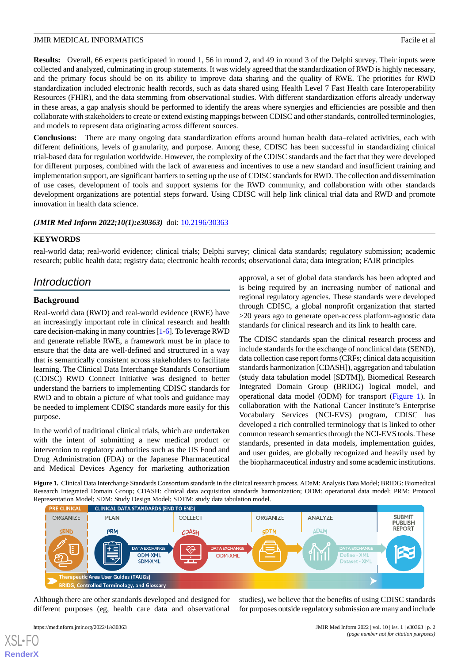**Results:** Overall, 66 experts participated in round 1, 56 in round 2, and 49 in round 3 of the Delphi survey. Their inputs were collected and analyzed, culminating in group statements. It was widely agreed that the standardization of RWD is highly necessary, and the primary focus should be on its ability to improve data sharing and the quality of RWE. The priorities for RWD standardization included electronic health records, such as data shared using Health Level 7 Fast Health care Interoperability Resources (FHIR), and the data stemming from observational studies. With different standardization efforts already underway in these areas, a gap analysis should be performed to identify the areas where synergies and efficiencies are possible and then collaborate with stakeholders to create or extend existing mappings between CDISC and other standards, controlled terminologies, and models to represent data originating across different sources.

**Conclusions:** There are many ongoing data standardization efforts around human health data–related activities, each with different definitions, levels of granularity, and purpose. Among these, CDISC has been successful in standardizing clinical trial-based data for regulation worldwide. However, the complexity of the CDISC standards and the fact that they were developed for different purposes, combined with the lack of awareness and incentives to use a new standard and insufficient training and implementation support, are significant barriers to setting up the use of CDISC standards for RWD. The collection and dissemination of use cases, development of tools and support systems for the RWD community, and collaboration with other standards development organizations are potential steps forward. Using CDISC will help link clinical trial data and RWD and promote innovation in health data science.

# *(JMIR Med Inform 2022;10(1):e30363)* doi: [10.2196/30363](http://dx.doi.org/10.2196/30363)

# **KEYWORDS**

real-world data; real-world evidence; clinical trials; Delphi survey; clinical data standards; regulatory submission; academic research; public health data; registry data; electronic health records; observational data; data integration; FAIR principles

# *Introduction*

# **Background**

Real-world data (RWD) and real-world evidence (RWE) have an increasingly important role in clinical research and health care decision-making in many countries [[1-](#page-9-0)[6\]](#page-9-1). To leverage RWD and generate reliable RWE, a framework must be in place to ensure that the data are well-defined and structured in a way that is semantically consistent across stakeholders to facilitate learning. The Clinical Data Interchange Standards Consortium (CDISC) RWD Connect Initiative was designed to better understand the barriers to implementing CDISC standards for RWD and to obtain a picture of what tools and guidance may be needed to implement CDISC standards more easily for this purpose.

<span id="page-1-0"></span>In the world of traditional clinical trials, which are undertaken with the intent of submitting a new medical product or intervention to regulatory authorities such as the US Food and Drug Administration (FDA) or the Japanese Pharmaceutical and Medical Devices Agency for marketing authorization approval, a set of global data standards has been adopted and is being required by an increasing number of national and regional regulatory agencies. These standards were developed through CDISC, a global nonprofit organization that started >20 years ago to generate open-access platform-agnostic data standards for clinical research and its link to health care.

The CDISC standards span the clinical research process and include standards for the exchange of nonclinical data (SEND), data collection case report forms (CRFs; clinical data acquisition standards harmonization [CDASH]), aggregation and tabulation (study data tabulation model [SDTM]), Biomedical Research Integrated Domain Group (BRIDG) logical model, and operational data model (ODM) for transport [\(Figure 1](#page-1-0)). In collaboration with the National Cancer Institute's Enterprise Vocabulary Services (NCI-EVS) program, CDISC has developed a rich controlled terminology that is linked to other common research semantics through the NCI-EVS tools. These standards, presented in data models, implementation guides, and user guides, are globally recognized and heavily used by the biopharmaceutical industry and some academic institutions.

**Figure 1.** Clinical Data Interchange Standards Consortium standards in the clinical research process. ADaM: Analysis Data Model; BRIDG: Biomedical Research Integrated Domain Group; CDASH: clinical data acquisition standards harmonization; ODM: operational data model; PRM: Protocol Representation Model; SDM: Study Design Model; SDTM: study data tabulation model.



Although there are other standards developed and designed for different purposes (eg, health care data and observational

[XSL](http://www.w3.org/Style/XSL)•FO **[RenderX](http://www.renderx.com/)**

studies), we believe that the benefits of using CDISC standards for purposes outside regulatory submission are many and include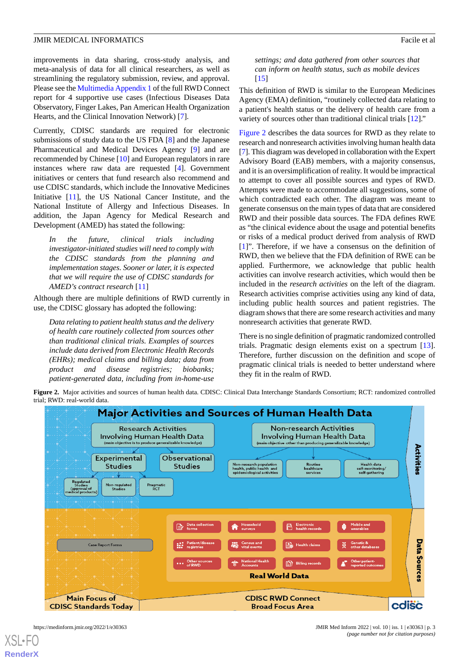improvements in data sharing, cross-study analysis, and meta-analysis of data for all clinical researchers, as well as streamlining the regulatory submission, review, and approval. Please see the [Multimedia Appendix 1](#page-9-2) of the full RWD Connect report for 4 supportive use cases (Infectious Diseases Data Observatory, Finger Lakes, Pan American Health Organization Hearts, and the Clinical Innovation Network) [[7\]](#page-9-3).

Currently, CDISC standards are required for electronic submissions of study data to the US FDA [[8\]](#page-10-0) and the Japanese Pharmaceutical and Medical Devices Agency [[9](#page-10-1)] and are recommended by Chinese [\[10](#page-10-2)] and European regulators in rare instances where raw data are requested [\[4](#page-9-4)]. Government initiatives or centers that fund research also recommend and use CDISC standards, which include the Innovative Medicines Initiative [\[11](#page-10-3)], the US National Cancer Institute, and the National Institute of Allergy and Infectious Diseases. In addition, the Japan Agency for Medical Research and Development (AMED) has stated the following:

*In the future, clinical trials including investigator-initiated studies will need to comply with the CDISC standards from the planning and implementation stages. Sooner or later, it is expected that we will require the use of CDISC standards for AMED's contract research* [\[11](#page-10-3)]

Although there are multiple definitions of RWD currently in use, the CDISC glossary has adopted the following:

<span id="page-2-0"></span>*Data relating to patient health status and the delivery of health care routinely collected from sources other than traditional clinical trials. Examples of sources include data derived from Electronic Health Records (EHRs); medical claims and billing data; data from product and disease registries; biobanks; patient-generated data, including from in-home-use*

*settings; and data gathered from other sources that can inform on health status, such as mobile devices* [[15\]](#page-10-4)

This definition of RWD is similar to the European Medicines Agency (EMA) definition, "routinely collected data relating to a patient's health status or the delivery of health care from a variety of sources other than traditional clinical trials [\[12](#page-10-5)]."

[Figure 2](#page-2-0) describes the data sources for RWD as they relate to research and nonresearch activities involving human health data [[7\]](#page-9-3). This diagram was developed in collaboration with the Expert Advisory Board (EAB) members, with a majority consensus, and it is an oversimplification of reality. It would be impractical to attempt to cover all possible sources and types of RWD. Attempts were made to accommodate all suggestions, some of which contradicted each other. The diagram was meant to generate consensus on the main types of data that are considered RWD and their possible data sources. The FDA defines RWE as "the clinical evidence about the usage and potential benefits or risks of a medical product derived from analysis of RWD [[1\]](#page-9-0)". Therefore, if we have a consensus on the definition of RWD, then we believe that the FDA definition of RWE can be applied. Furthermore, we acknowledge that public health activities can involve research activities, which would then be included in the *research activities* on the left of the diagram. Research activities comprise activities using any kind of data, including public health sources and patient registries. The diagram shows that there are some research activities and many nonresearch activities that generate RWD.

There is no single definition of pragmatic randomized controlled trials. Pragmatic design elements exist on a spectrum [[13\]](#page-10-6). Therefore, further discussion on the definition and scope of pragmatic clinical trials is needed to better understand where they fit in the realm of RWD.

Figure 2. Major activities and sources of human health data. CDISC: Clinical Data Interchange Standards Consortium; RCT: randomized controlled trial; RWD: real-world data.

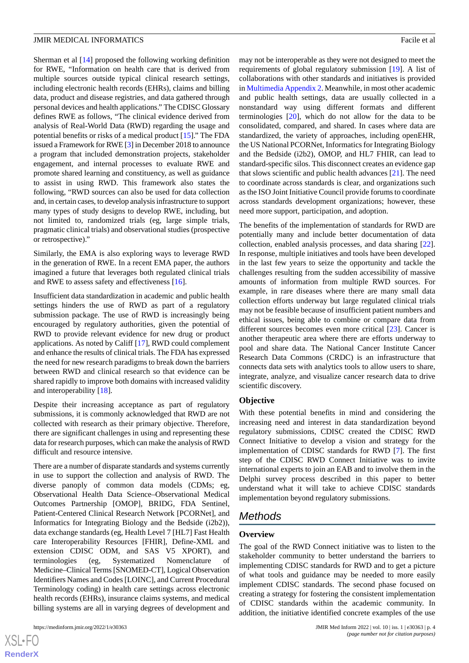Sherman et al [\[14](#page-10-7)] proposed the following working definition for RWE, "Information on health care that is derived from multiple sources outside typical clinical research settings, including electronic health records (EHRs), claims and billing data, product and disease registries, and data gathered through personal devices and health applications." The CDISC Glossary defines RWE as follows, "The clinical evidence derived from analysis of Real-World Data (RWD) regarding the usage and potential benefits or risks of a medical product [\[15](#page-10-4)]." The FDA issued a Framework for RWE [[3](#page-9-5)] in December 2018 to announce a program that included demonstration projects, stakeholder engagement, and internal processes to evaluate RWE and promote shared learning and constituency, as well as guidance to assist in using RWD. This framework also states the following, "RWD sources can also be used for data collection and, in certain cases, to develop analysis infrastructure to support many types of study designs to develop RWE, including, but not limited to, randomized trials (eg, large simple trials, pragmatic clinical trials) and observational studies (prospective or retrospective)."

Similarly, the EMA is also exploring ways to leverage RWD in the generation of RWE. In a recent EMA paper, the authors imagined a future that leverages both regulated clinical trials and RWE to assess safety and effectiveness [[16\]](#page-10-8).

Insufficient data standardization in academic and public health settings hinders the use of RWD as part of a regulatory submission package. The use of RWD is increasingly being encouraged by regulatory authorities, given the potential of RWD to provide relevant evidence for new drug or product applications. As noted by Califf [\[17](#page-10-9)], RWD could complement and enhance the results of clinical trials. The FDA has expressed the need for new research paradigms to break down the barriers between RWD and clinical research so that evidence can be shared rapidly to improve both domains with increased validity and interoperability [[18\]](#page-10-10).

Despite their increasing acceptance as part of regulatory submissions, it is commonly acknowledged that RWD are not collected with research as their primary objective. Therefore, there are significant challenges in using and representing these data for research purposes, which can make the analysis of RWD difficult and resource intensive.

There are a number of disparate standards and systems currently in use to support the collection and analysis of RWD. The diverse panoply of common data models (CDMs; eg, Observational Health Data Science–Observational Medical Outcomes Partnership [OMOP], BRIDG, FDA Sentinel, Patient-Centered Clinical Research Network [PCORNet], and Informatics for Integrating Biology and the Bedside (i2b2)), data exchange standards (eg, Health Level 7 [HL7] Fast Health care Interoperability Resources [FHIR], Define-XML and extension CDISC ODM, and SAS V5 XPORT), and terminologies (eg, Systematized Nomenclature of Medicine–Clinical Terms [SNOMED-CT], Logical Observation Identifiers Names and Codes [LOINC], and Current Procedural Terminology coding) in health care settings across electronic health records (EHRs), insurance claims systems, and medical billing systems are all in varying degrees of development and

may not be interoperable as they were not designed to meet the requirements of global regulatory submission [[19\]](#page-10-11). A list of collaborations with other standards and initiatives is provided in [Multimedia Appendix 2](#page-9-6). Meanwhile, in most other academic and public health settings, data are usually collected in a nonstandard way using different formats and different terminologies [[20\]](#page-10-12), which do not allow for the data to be consolidated, compared, and shared. In cases where data are standardized, the variety of approaches, including openEHR, the US National PCORNet, Informatics for Integrating Biology and the Bedside (i2b2), OMOP, and HL7 FHIR, can lead to standard-specific silos. This disconnect creates an evidence gap that slows scientific and public health advances [[21\]](#page-10-13). The need to coordinate across standards is clear, and organizations such as the ISO Joint Initiative Council provide forums to coordinate across standards development organizations; however, these need more support, participation, and adoption.

The benefits of the implementation of standards for RWD are potentially many and include better documentation of data collection, enabled analysis processes, and data sharing [[22\]](#page-10-14). In response, multiple initiatives and tools have been developed in the last few years to seize the opportunity and tackle the challenges resulting from the sudden accessibility of massive amounts of information from multiple RWD sources. For example, in rare diseases where there are many small data collection efforts underway but large regulated clinical trials may not be feasible because of insufficient patient numbers and ethical issues, being able to combine or compare data from different sources becomes even more critical [[23\]](#page-10-15). Cancer is another therapeutic area where there are efforts underway to pool and share data. The National Cancer Institute Cancer Research Data Commons (CRDC) is an infrastructure that connects data sets with analytics tools to allow users to share, integrate, analyze, and visualize cancer research data to drive scientific discovery.

#### **Objective**

With these potential benefits in mind and considering the increasing need and interest in data standardization beyond regulatory submissions, CDISC created the CDISC RWD Connect Initiative to develop a vision and strategy for the implementation of CDISC standards for RWD [[7\]](#page-9-3). The first step of the CDISC RWD Connect Initiative was to invite international experts to join an EAB and to involve them in the Delphi survey process described in this paper to better understand what it will take to achieve CDISC standards implementation beyond regulatory submissions.

# *Methods*

#### **Overview**

The goal of the RWD Connect initiative was to listen to the stakeholder community to better understand the barriers to implementing CDISC standards for RWD and to get a picture of what tools and guidance may be needed to more easily implement CDISC standards. The second phase focused on creating a strategy for fostering the consistent implementation of CDISC standards within the academic community. In addition, the initiative identified concrete examples of the use

 $XS$  $\cdot$ FC **[RenderX](http://www.renderx.com/)**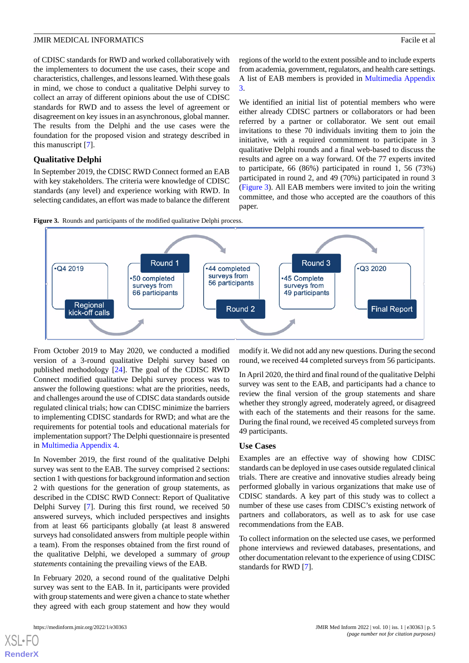of CDISC standards for RWD and worked collaboratively with the implementers to document the use cases, their scope and characteristics, challenges, and lessons learned. With these goals in mind, we chose to conduct a qualitative Delphi survey to collect an array of different opinions about the use of CDISC standards for RWD and to assess the level of agreement or disagreement on key issues in an asynchronous, global manner. The results from the Delphi and the use cases were the foundation for the proposed vision and strategy described in this manuscript [[7\]](#page-9-3).

#### **Qualitative Delphi**

In September 2019, the CDISC RWD Connect formed an EAB with key stakeholders. The criteria were knowledge of CDISC standards (any level) and experience working with RWD. In selecting candidates, an effort was made to balance the different regions of the world to the extent possible and to include experts from academia, government, regulators, and health care settings. A list of EAB members is provided in [Multimedia Appendix](#page-9-7) [3.](#page-9-7)

We identified an initial list of potential members who were either already CDISC partners or collaborators or had been referred by a partner or collaborator. We sent out email invitations to these 70 individuals inviting them to join the initiative, with a required commitment to participate in 3 qualitative Delphi rounds and a final web-based to discuss the results and agree on a way forward. Of the 77 experts invited to participate, 66 (86%) participated in round 1, 56 (73%) participated in round 2, and 49 (70%) participated in round 3 ([Figure 3\)](#page-4-0). All EAB members were invited to join the writing committee, and those who accepted are the coauthors of this paper.

<span id="page-4-0"></span>



From October 2019 to May 2020, we conducted a modified version of a 3-round qualitative Delphi survey based on published methodology [[24\]](#page-10-16). The goal of the CDISC RWD Connect modified qualitative Delphi survey process was to answer the following questions: what are the priorities, needs, and challenges around the use of CDISC data standards outside regulated clinical trials; how can CDISC minimize the barriers to implementing CDISC standards for RWD; and what are the requirements for potential tools and educational materials for implementation support? The Delphi questionnaire is presented in [Multimedia Appendix 4.](#page-9-8)

In November 2019, the first round of the qualitative Delphi survey was sent to the EAB. The survey comprised 2 sections: section 1 with questions for background information and section 2 with questions for the generation of group statements, as described in the CDISC RWD Connect: Report of Qualitative Delphi Survey [[7](#page-9-3)]. During this first round, we received 50 answered surveys, which included perspectives and insights from at least 66 participants globally (at least 8 answered surveys had consolidated answers from multiple people within a team). From the responses obtained from the first round of the qualitative Delphi, we developed a summary of *group statements* containing the prevailing views of the EAB.

In February 2020, a second round of the qualitative Delphi survey was sent to the EAB. In it, participants were provided with group statements and were given a chance to state whether they agreed with each group statement and how they would

[XSL](http://www.w3.org/Style/XSL)•FO **[RenderX](http://www.renderx.com/)**

modify it. We did not add any new questions. During the second round, we received 44 completed surveys from 56 participants.

In April 2020, the third and final round of the qualitative Delphi survey was sent to the EAB, and participants had a chance to review the final version of the group statements and share whether they strongly agreed, moderately agreed, or disagreed with each of the statements and their reasons for the same. During the final round, we received 45 completed surveys from 49 participants.

#### **Use Cases**

Examples are an effective way of showing how CDISC standards can be deployed in use cases outside regulated clinical trials. There are creative and innovative studies already being performed globally in various organizations that make use of CDISC standards. A key part of this study was to collect a number of these use cases from CDISC's existing network of partners and collaborators, as well as to ask for use case recommendations from the EAB.

To collect information on the selected use cases, we performed phone interviews and reviewed databases, presentations, and other documentation relevant to the experience of using CDISC standards for RWD [[7\]](#page-9-3).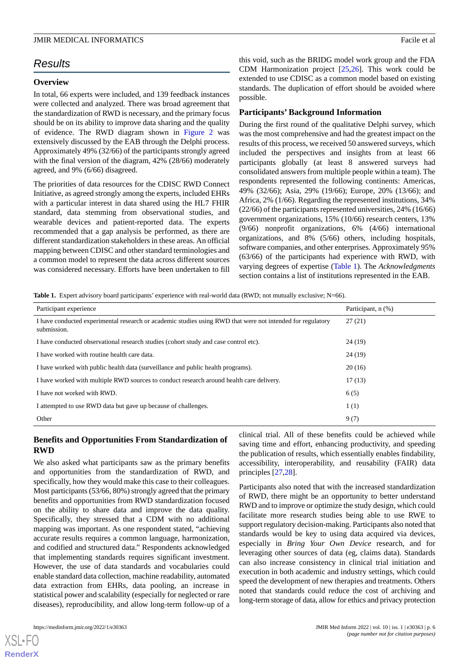# *Results*

# **Overview**

In total, 66 experts were included, and 139 feedback instances were collected and analyzed. There was broad agreement that the standardization of RWD is necessary, and the primary focus should be on its ability to improve data sharing and the quality of evidence. The RWD diagram shown in [Figure 2](#page-2-0) was extensively discussed by the EAB through the Delphi process. Approximately 49% (32/66) of the participants strongly agreed with the final version of the diagram, 42% (28/66) moderately agreed, and 9% (6/66) disagreed.

The priorities of data resources for the CDISC RWD Connect Initiative, as agreed strongly among the experts, included EHRs with a particular interest in data shared using the HL7 FHIR standard, data stemming from observational studies, and wearable devices and patient-reported data. The experts recommended that a gap analysis be performed, as there are different standardization stakeholders in these areas. An official mapping between CDISC and other standard terminologies and a common model to represent the data across different sources was considered necessary. Efforts have been undertaken to fill

this void, such as the BRIDG model work group and the FDA CDM Harmonization project [\[25](#page-10-17),[26\]](#page-10-18). This work could be extended to use CDISC as a common model based on existing standards. The duplication of effort should be avoided where possible.

# **Participants' Background Information**

During the first round of the qualitative Delphi survey, which was the most comprehensive and had the greatest impact on the results of this process, we received 50 answered surveys, which included the perspectives and insights from at least 66 participants globally (at least 8 answered surveys had consolidated answers from multiple people within a team). The respondents represented the following continents: Americas, 49% (32/66); Asia, 29% (19/66); Europe, 20% (13/66); and Africa, 2% (1/66). Regarding the represented institutions, 34% (22/66) of the participants represented universities, 24% (16/66) government organizations, 15% (10/66) research centers, 13% (9/66) nonprofit organizations, 6% (4/66) international organizations, and 8% (5/66) others, including hospitals, software companies, and other enterprises. Approximately 95% (63/66) of the participants had experience with RWD, with varying degrees of expertise ([Table 1\)](#page-5-0). The *Acknowledgments* section contains a list of institutions represented in the EAB.

<span id="page-5-0"></span>**Table 1.** Expert advisory board participants' experience with real-world data (RWD; not mutually exclusive; N=66).

| Participant experience                                                                                                    | Participant, n (%) |
|---------------------------------------------------------------------------------------------------------------------------|--------------------|
| I have conducted experimental research or academic studies using RWD that were not intended for regulatory<br>submission. | 27(21)             |
| I have conducted observational research studies (cohort study and case control etc).                                      | 24(19)             |
| I have worked with routine health care data.                                                                              | 24(19)             |
| I have worked with public health data (surveillance and public health programs).                                          | 20(16)             |
| I have worked with multiple RWD sources to conduct research around health care delivery.                                  | 17(13)             |
| I have not worked with RWD.                                                                                               | 6(5)               |
| I attempted to use RWD data but gave up because of challenges.                                                            | 1(1)               |
| Other                                                                                                                     | 9(7)               |

# **Benefits and Opportunities From Standardization of RWD**

We also asked what participants saw as the primary benefits and opportunities from the standardization of RWD, and specifically, how they would make this case to their colleagues. Most participants (53/66, 80%) strongly agreed that the primary benefits and opportunities from RWD standardization focused on the ability to share data and improve the data quality. Specifically, they stressed that a CDM with no additional mapping was important. As one respondent stated, "achieving accurate results requires a common language, harmonization, and codified and structured data." Respondents acknowledged that implementing standards requires significant investment. However, the use of data standards and vocabularies could enable standard data collection, machine readability, automated data extraction from EHRs, data pooling, an increase in statistical power and scalability (especially for neglected or rare diseases), reproducibility, and allow long-term follow-up of a

[XSL](http://www.w3.org/Style/XSL)•FO **[RenderX](http://www.renderx.com/)**

clinical trial. All of these benefits could be achieved while saving time and effort, enhancing productivity, and speeding the publication of results, which essentially enables findability, accessibility, interoperability, and reusability (FAIR) data principles [[27](#page-10-19)[,28](#page-10-20)].

Participants also noted that with the increased standardization of RWD, there might be an opportunity to better understand RWD and to improve or optimize the study design, which could facilitate more research studies being able to use RWE to support regulatory decision-making. Participants also noted that standards would be key to using data acquired via devices, especially in *Bring Your Own Device* research, and for leveraging other sources of data (eg, claims data). Standards can also increase consistency in clinical trial initiation and execution in both academic and industry settings, which could speed the development of new therapies and treatments. Others noted that standards could reduce the cost of archiving and long-term storage of data, allow for ethics and privacy protection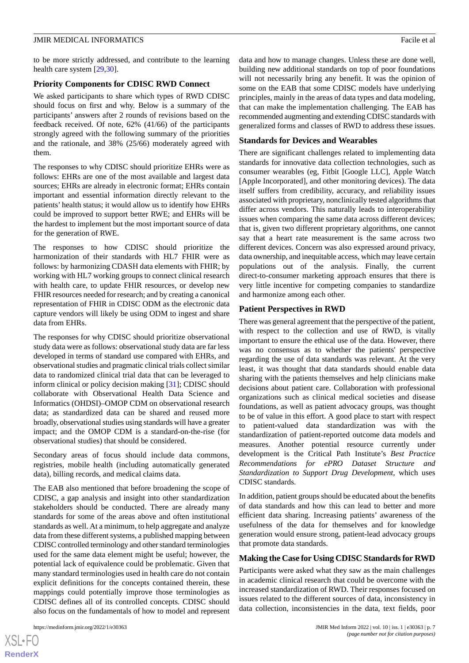to be more strictly addressed, and contribute to the learning health care system [\[29](#page-10-21),[30\]](#page-10-22).

#### **Priority Components for CDISC RWD Connect**

We asked participants to share which types of RWD CDISC should focus on first and why. Below is a summary of the participants' answers after 2 rounds of revisions based on the feedback received. Of note, 62% (41/66) of the participants strongly agreed with the following summary of the priorities and the rationale, and 38% (25/66) moderately agreed with them.

The responses to why CDISC should prioritize EHRs were as follows: EHRs are one of the most available and largest data sources; EHRs are already in electronic format; EHRs contain important and essential information directly relevant to the patients' health status; it would allow us to identify how EHRs could be improved to support better RWE; and EHRs will be the hardest to implement but the most important source of data for the generation of RWE.

The responses to how CDISC should prioritize the harmonization of their standards with HL7 FHIR were as follows: by harmonizing CDASH data elements with FHIR; by working with HL7 working groups to connect clinical research with health care, to update FHIR resources, or develop new FHIR resources needed for research; and by creating a canonical representation of FHIR in CDISC ODM as the electronic data capture vendors will likely be using ODM to ingest and share data from EHRs.

The responses for why CDISC should prioritize observational study data were as follows: observational study data are far less developed in terms of standard use compared with EHRs, and observational studies and pragmatic clinical trials collect similar data to randomized clinical trial data that can be leveraged to inform clinical or policy decision making [\[31](#page-11-0)]; CDISC should collaborate with Observational Health Data Science and Informatics (OHDSI)–OMOP CDM on observational research data; as standardized data can be shared and reused more broadly, observational studies using standards will have a greater impact; and the OMOP CDM is a standard-on-the-rise (for observational studies) that should be considered.

Secondary areas of focus should include data commons, registries, mobile health (including automatically generated data), billing records, and medical claims data.

The EAB also mentioned that before broadening the scope of CDISC, a gap analysis and insight into other standardization stakeholders should be conducted. There are already many standards for some of the areas above and often institutional standards as well. At a minimum, to help aggregate and analyze data from these different systems, a published mapping between CDISC controlled terminology and other standard terminologies used for the same data element might be useful; however, the potential lack of equivalence could be problematic. Given that many standard terminologies used in health care do not contain explicit definitions for the concepts contained therein, these mappings could potentially improve those terminologies as CDISC defines all of its controlled concepts. CDISC should also focus on the fundamentals of how to model and represent

data and how to manage changes. Unless these are done well, building new additional standards on top of poor foundations will not necessarily bring any benefit. It was the opinion of some on the EAB that some CDISC models have underlying principles, mainly in the areas of data types and data modeling, that can make the implementation challenging. The EAB has recommended augmenting and extending CDISC standards with generalized forms and classes of RWD to address these issues.

#### **Standards for Devices and Wearables**

There are significant challenges related to implementing data standards for innovative data collection technologies, such as consumer wearables (eg, Fitbit [Google LLC], Apple Watch [Apple Incorporated], and other monitoring devices). The data itself suffers from credibility, accuracy, and reliability issues associated with proprietary, nonclinically tested algorithms that differ across vendors. This naturally leads to interoperability issues when comparing the same data across different devices; that is, given two different proprietary algorithms, one cannot say that a heart rate measurement is the same across two different devices. Concern was also expressed around privacy, data ownership, and inequitable access, which may leave certain populations out of the analysis. Finally, the current direct-to-consumer marketing approach ensures that there is very little incentive for competing companies to standardize and harmonize among each other.

# **Patient Perspectives in RWD**

There was general agreement that the perspective of the patient, with respect to the collection and use of RWD, is vitally important to ensure the ethical use of the data. However, there was no consensus as to whether the patients' perspective regarding the use of data standards was relevant. At the very least, it was thought that data standards should enable data sharing with the patients themselves and help clinicians make decisions about patient care. Collaboration with professional organizations such as clinical medical societies and disease foundations, as well as patient advocacy groups, was thought to be of value in this effort. A good place to start with respect to patient-valued data standardization was with the standardization of patient-reported outcome data models and measures. Another potential resource currently under development is the Critical Path Institute's *Best Practice Recommendations for ePRO Dataset Structure and Standardization to Support Drug Development*, which uses CDISC standards.

In addition, patient groups should be educated about the benefits of data standards and how this can lead to better and more efficient data sharing. Increasing patients' awareness of the usefulness of the data for themselves and for knowledge generation would ensure strong, patient-lead advocacy groups that promote data standards.

#### **Making the Case for Using CDISC Standards for RWD**

Participants were asked what they saw as the main challenges in academic clinical research that could be overcome with the increased standardization of RWD. Their responses focused on issues related to the different sources of data, inconsistency in data collection, inconsistencies in the data, text fields, poor

 $XS$  • FC **[RenderX](http://www.renderx.com/)**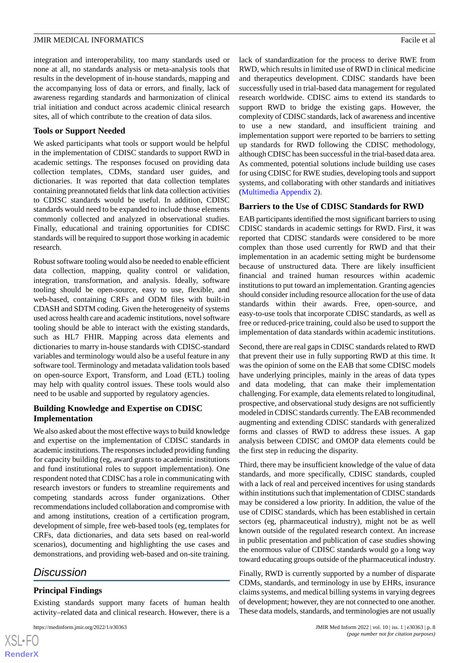sites, all of which contribute to the creation of data silos.

# **Tools or Support Needed**

We asked participants what tools or support would be helpful in the implementation of CDISC standards to support RWD in academic settings. The responses focused on providing data collection templates, CDMs, standard user guides, and dictionaries. It was reported that data collection templates containing preannotated fields that link data collection activities to CDISC standards would be useful. In addition, CDISC standards would need to be expanded to include those elements commonly collected and analyzed in observational studies. Finally, educational and training opportunities for CDISC standards will be required to support those working in academic research.

Robust software tooling would also be needed to enable efficient data collection, mapping, quality control or validation, integration, transformation, and analysis. Ideally, software tooling should be open-source, easy to use, flexible, and web-based, containing CRFs and ODM files with built-in CDASH and SDTM coding. Given the heterogeneity of systems used across health care and academic institutions, novel software tooling should be able to interact with the existing standards, such as HL7 FHIR. Mapping across data elements and dictionaries to marry in-house standards with CDISC-standard variables and terminology would also be a useful feature in any software tool. Terminology and metadata validation tools based on open-source Export, Transform, and Load (ETL) tooling may help with quality control issues. These tools would also need to be usable and supported by regulatory agencies.

# **Building Knowledge and Expertise on CDISC Implementation**

We also asked about the most effective ways to build knowledge and expertise on the implementation of CDISC standards in academic institutions. The responses included providing funding for capacity building (eg, award grants to academic institutions and fund institutional roles to support implementation). One respondent noted that CDISC has a role in communicating with research investors or funders to streamline requirements and competing standards across funder organizations. Other recommendations included collaboration and compromise with and among institutions, creation of a certification program, development of simple, free web-based tools (eg, templates for CRFs, data dictionaries, and data sets based on real-world scenarios), documenting and highlighting the use cases and demonstrations, and providing web-based and on-site training.

# *Discussion*

[XSL](http://www.w3.org/Style/XSL)•FO **[RenderX](http://www.renderx.com/)**

# **Principal Findings**

Existing standards support many facets of human health activity–related data and clinical research. However, there is a

lack of standardization for the process to derive RWE from RWD, which results in limited use of RWD in clinical medicine and therapeutics development. CDISC standards have been successfully used in trial-based data management for regulated research worldwide. CDISC aims to extend its standards to support RWD to bridge the existing gaps. However, the complexity of CDISC standards, lack of awareness and incentive to use a new standard, and insufficient training and implementation support were reported to be barriers to setting up standards for RWD following the CDISC methodology, although CDISC has been successful in the trial-based data area. As commented, potential solutions include building use cases for using CDISC for RWE studies, developing tools and support systems, and collaborating with other standards and initiatives ([Multimedia Appendix 2](#page-9-6)).

# **Barriers to the Use of CDISC Standards for RWD**

EAB participants identified the most significant barriers to using CDISC standards in academic settings for RWD. First, it was reported that CDISC standards were considered to be more complex than those used currently for RWD and that their implementation in an academic setting might be burdensome because of unstructured data. There are likely insufficient financial and trained human resources within academic institutions to put toward an implementation. Granting agencies should consider including resource allocation for the use of data standards within their awards. Free, open-source, and easy-to-use tools that incorporate CDISC standards, as well as free or reduced-price training, could also be used to support the implementation of data standards within academic institutions.

Second, there are real gaps in CDISC standards related to RWD that prevent their use in fully supporting RWD at this time. It was the opinion of some on the EAB that some CDISC models have underlying principles, mainly in the areas of data types and data modeling, that can make their implementation challenging. For example, data elements related to longitudinal, prospective, and observational study designs are not sufficiently modeled in CDISC standards currently. The EAB recommended augmenting and extending CDISC standards with generalized forms and classes of RWD to address these issues. A gap analysis between CDISC and OMOP data elements could be the first step in reducing the disparity.

Third, there may be insufficient knowledge of the value of data standards, and more specifically, CDISC standards, coupled with a lack of real and perceived incentives for using standards within institutions such that implementation of CDISC standards may be considered a low priority. In addition, the value of the use of CDISC standards, which has been established in certain sectors (eg, pharmaceutical industry), might not be as well known outside of the regulated research context. An increase in public presentation and publication of case studies showing the enormous value of CDISC standards would go a long way toward educating groups outside of the pharmaceutical industry.

Finally, RWD is currently supported by a number of disparate CDMs, standards, and terminology in use by EHRs, insurance claims systems, and medical billing systems in varying degrees of development; however, they are not connected to one another. These data models, standards, and terminologies are not usually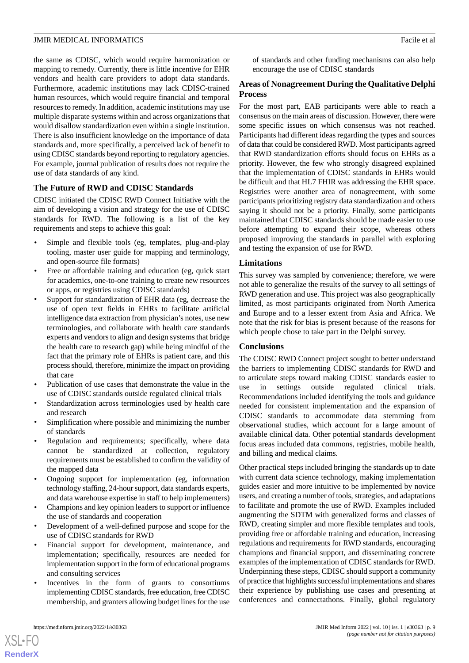the same as CDISC, which would require harmonization or mapping to remedy. Currently, there is little incentive for EHR vendors and health care providers to adopt data standards. Furthermore, academic institutions may lack CDISC-trained human resources, which would require financial and temporal resources to remedy. In addition, academic institutions may use multiple disparate systems within and across organizations that would disallow standardization even within a single institution. There is also insufficient knowledge on the importance of data standards and, more specifically, a perceived lack of benefit to using CDISC standards beyond reporting to regulatory agencies. For example, journal publication of results does not require the use of data standards of any kind.

# **The Future of RWD and CDISC Standards**

CDISC initiated the CDISC RWD Connect Initiative with the aim of developing a vision and strategy for the use of CDISC standards for RWD. The following is a list of the key requirements and steps to achieve this goal:

- Simple and flexible tools (eg, templates, plug-and-play tooling, master user guide for mapping and terminology, and open-source file formats)
- Free or affordable training and education (eg, quick start for academics, one-to-one training to create new resources or apps, or registries using CDISC standards)
- Support for standardization of EHR data (eg, decrease the use of open text fields in EHRs to facilitate artificial intelligence data extraction from physician's notes, use new terminologies, and collaborate with health care standards experts and vendors to align and design systems that bridge the health care to research gap) while being mindful of the fact that the primary role of EHRs is patient care, and this process should, therefore, minimize the impact on providing that care
- Publication of use cases that demonstrate the value in the use of CDISC standards outside regulated clinical trials
- Standardization across terminologies used by health care and research
- Simplification where possible and minimizing the number of standards
- Regulation and requirements; specifically, where data cannot be standardized at collection, regulatory requirements must be established to confirm the validity of the mapped data
- Ongoing support for implementation (eg, information technology staffing, 24-hour support, data standards experts, and data warehouse expertise in staff to help implementers)
- Champions and key opinion leaders to support or influence the use of standards and cooperation
- Development of a well-defined purpose and scope for the use of CDISC standards for RWD
- Financial support for development, maintenance, and implementation; specifically, resources are needed for implementation support in the form of educational programs and consulting services
- Incentives in the form of grants to consortiums implementing CDISC standards, free education, free CDISC membership, and granters allowing budget lines for the use

 $XS$  • FO **[RenderX](http://www.renderx.com/)** of standards and other funding mechanisms can also help encourage the use of CDISC standards

#### **Areas of Nonagreement During the Qualitative Delphi Process**

For the most part, EAB participants were able to reach a consensus on the main areas of discussion. However, there were some specific issues on which consensus was not reached. Participants had different ideas regarding the types and sources of data that could be considered RWD. Most participants agreed that RWD standardization efforts should focus on EHRs as a priority. However, the few who strongly disagreed explained that the implementation of CDISC standards in EHRs would be difficult and that HL7 FHIR was addressing the EHR space. Registries were another area of nonagreement, with some participants prioritizing registry data standardization and others saying it should not be a priority. Finally, some participants maintained that CDISC standards should be made easier to use before attempting to expand their scope, whereas others proposed improving the standards in parallel with exploring and testing the expansion of use for RWD.

#### **Limitations**

This survey was sampled by convenience; therefore, we were not able to generalize the results of the survey to all settings of RWD generation and use. This project was also geographically limited, as most participants originated from North America and Europe and to a lesser extent from Asia and Africa. We note that the risk for bias is present because of the reasons for which people chose to take part in the Delphi survey.

#### **Conclusions**

The CDISC RWD Connect project sought to better understand the barriers to implementing CDISC standards for RWD and to articulate steps toward making CDISC standards easier to use in settings outside regulated clinical trials. Recommendations included identifying the tools and guidance needed for consistent implementation and the expansion of CDISC standards to accommodate data stemming from observational studies, which account for a large amount of available clinical data. Other potential standards development focus areas included data commons, registries, mobile health, and billing and medical claims.

Other practical steps included bringing the standards up to date with current data science technology, making implementation guides easier and more intuitive to be implemented by novice users, and creating a number of tools, strategies, and adaptations to facilitate and promote the use of RWD. Examples included augmenting the SDTM with generalized forms and classes of RWD, creating simpler and more flexible templates and tools, providing free or affordable training and education, increasing regulations and requirements for RWD standards, encouraging champions and financial support, and disseminating concrete examples of the implementation of CDISC standards for RWD. Underpinning these steps, CDISC should support a community of practice that highlights successful implementations and shares their experience by publishing use cases and presenting at conferences and connectathons. Finally, global regulatory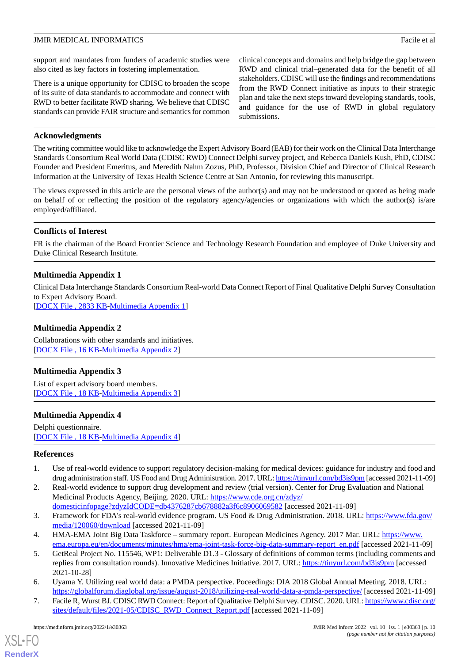support and mandates from funders of academic studies were also cited as key factors in fostering implementation.

There is a unique opportunity for CDISC to broaden the scope of its suite of data standards to accommodate and connect with RWD to better facilitate RWD sharing. We believe that CDISC standards can provide FAIR structure and semantics for common clinical concepts and domains and help bridge the gap between RWD and clinical trial–generated data for the benefit of all stakeholders. CDISC will use the findings and recommendations from the RWD Connect initiative as inputs to their strategic plan and take the next steps toward developing standards, tools, and guidance for the use of RWD in global regulatory submissions.

# **Acknowledgments**

The writing committee would like to acknowledge the Expert Advisory Board (EAB) for their work on the Clinical Data Interchange Standards Consortium Real World Data (CDISC RWD) Connect Delphi survey project, and Rebecca Daniels Kush, PhD, CDISC Founder and President Emeritus, and Meredith Nahm Zozus, PhD, Professor, Division Chief and Director of Clinical Research Information at the University of Texas Health Science Centre at San Antonio, for reviewing this manuscript.

The views expressed in this article are the personal views of the author(s) and may not be understood or quoted as being made on behalf of or reflecting the position of the regulatory agency/agencies or organizations with which the author(s) is/are employed/affiliated.

# **Conflicts of Interest**

<span id="page-9-2"></span>FR is the chairman of the Board Frontier Science and Technology Research Foundation and employee of Duke University and Duke Clinical Research Institute.

# **Multimedia Appendix 1**

<span id="page-9-6"></span>Clinical Data Interchange Standards Consortium Real-world Data Connect Report of Final Qualitative Delphi Survey Consultation to Expert Advisory Board.

[[DOCX File , 2833 KB](https://jmir.org/api/download?alt_name=medinform_v10i1e30363_app1.docx&filename=4294df852e1c5f212b89f5e6dbf52c81.docx)-[Multimedia Appendix 1\]](https://jmir.org/api/download?alt_name=medinform_v10i1e30363_app1.docx&filename=4294df852e1c5f212b89f5e6dbf52c81.docx)

# **Multimedia Appendix 2**

<span id="page-9-7"></span>Collaborations with other standards and initiatives. [[DOCX File , 16 KB](https://jmir.org/api/download?alt_name=medinform_v10i1e30363_app2.docx&filename=3bfa97d952ddab3a63d19d753dd9215b.docx)-[Multimedia Appendix 2\]](https://jmir.org/api/download?alt_name=medinform_v10i1e30363_app2.docx&filename=3bfa97d952ddab3a63d19d753dd9215b.docx)

# <span id="page-9-8"></span>**Multimedia Appendix 3**

List of expert advisory board members. [[DOCX File , 18 KB](https://jmir.org/api/download?alt_name=medinform_v10i1e30363_app3.docx&filename=85594a56ae3dffbfa8b7f0716d468ff4.docx)-[Multimedia Appendix 3\]](https://jmir.org/api/download?alt_name=medinform_v10i1e30363_app3.docx&filename=85594a56ae3dffbfa8b7f0716d468ff4.docx)

# **Multimedia Appendix 4**

<span id="page-9-0"></span>Delphi questionnaire. [[DOCX File , 18 KB](https://jmir.org/api/download?alt_name=medinform_v10i1e30363_app4.docx&filename=164b7fd4a1bf62472058d35596576214.docx)-[Multimedia Appendix 4\]](https://jmir.org/api/download?alt_name=medinform_v10i1e30363_app4.docx&filename=164b7fd4a1bf62472058d35596576214.docx)

# **References**

- <span id="page-9-5"></span>1. Use of real-world evidence to support regulatory decision-making for medical devices: guidance for industry and food and drug administration staff. US Food and Drug Administration. 2017. URL:<https://tinyurl.com/bd3js9pm> [accessed 2021-11-09]
- <span id="page-9-4"></span>2. Real-world evidence to support drug development and review (trial version). Center for Drug Evaluation and National Medicinal Products Agency, Beijing. 2020. URL: [https://www.cde.org.cn/zdyz/](https://www.cde.org.cn/zdyz/domesticinfopage?zdyzIdCODE=db4376287cb678882a3f6c8906069582)
- [domesticinfopage?zdyzIdCODE=db4376287cb678882a3f6c8906069582](https://www.cde.org.cn/zdyz/domesticinfopage?zdyzIdCODE=db4376287cb678882a3f6c8906069582) [accessed 2021-11-09]
- <span id="page-9-1"></span>3. Framework for FDA's real-world evidence program. US Food & Drug Administration. 2018. URL: [https://www.fda.gov/](https://www.fda.gov/media/120060/download) [media/120060/download](https://www.fda.gov/media/120060/download) [accessed 2021-11-09]
- <span id="page-9-3"></span>4. HMA-EMA Joint Big Data Taskforce – summary report. European Medicines Agency. 2017 Mar. URL: [https://www.](https://www.ema.europa.eu/en/documents/minutes/hma/ema-joint-task-force-big-data-summary-report_en.pdf) [ema.europa.eu/en/documents/minutes/hma/ema-joint-task-force-big-data-summary-report\\_en.pdf](https://www.ema.europa.eu/en/documents/minutes/hma/ema-joint-task-force-big-data-summary-report_en.pdf) [accessed 2021-11-09]
- 5. GetReal Project No. 115546, WP1: Deliverable D1.3 Glossary of definitions of common terms (including comments and replies from consultation rounds). Innovative Medicines Initiative. 2017. URL:<https://tinyurl.com/bd3js9pm> [accessed 2021-10-28]
- 6. Uyama Y. Utilizing real world data: a PMDA perspective. Poceedings: DIA 2018 Global Annual Meeting. 2018. URL: <https://globalforum.diaglobal.org/issue/august-2018/utilizing-real-world-data-a-pmda-perspective/> [accessed 2021-11-09]
- 7. Facile R, Wurst BJ. CDISC RWD Connect: Report of Qualitative Delphi Survey. CDISC. 2020. URL: [https://www.cdisc.org/](https://www.cdisc.org/sites/default/files/2021-05/CDISC_RWD_Connect_Report.pdf) [sites/default/files/2021-05/CDISC\\_RWD\\_Connect\\_Report.pdf](https://www.cdisc.org/sites/default/files/2021-05/CDISC_RWD_Connect_Report.pdf) [accessed 2021-11-09]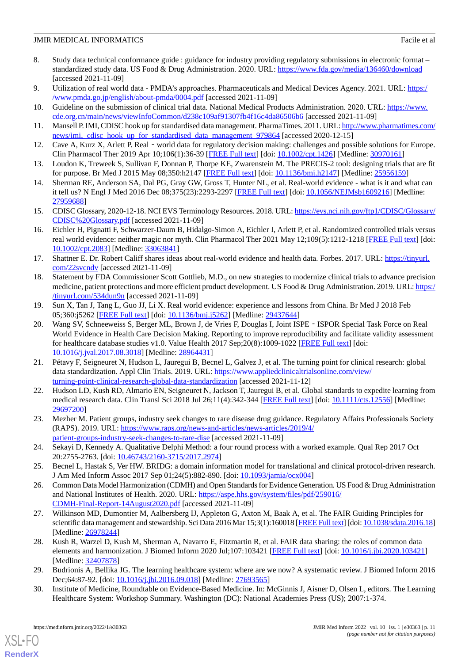- <span id="page-10-0"></span>8. Study data technical conformance guide : guidance for industry providing regulatory submissions in electronic format – standardized study data. US Food & Drug Administration. 2020. URL: <https://www.fda.gov/media/136460/download> [accessed 2021-11-09]
- <span id="page-10-2"></span><span id="page-10-1"></span>9. Utilization of real world data - PMDA's approaches. Pharmaceuticals and Medical Devices Agency. 2021. URL: [https:/](https://www.pmda.go.jp/english/about-pmda/0004.pdf) [/www.pmda.go.jp/english/about-pmda/0004.pdf](https://www.pmda.go.jp/english/about-pmda/0004.pdf) [accessed 2021-11-09]
- <span id="page-10-3"></span>10. Guideline on the submission of clinical trial data. National Medical Products Administration. 2020. URL: [https://www.](https://www.cde.org.cn/main/news/viewInfoCommon/d238c109af91307fb4f16c4da86506b6) [cde.org.cn/main/news/viewInfoCommon/d238c109af91307fb4f16c4da86506b6](https://www.cde.org.cn/main/news/viewInfoCommon/d238c109af91307fb4f16c4da86506b6) [accessed 2021-11-09]
- <span id="page-10-5"></span>11. Mansell P. IMI, CDISC hook up for standardised data management. PharmaTimes. 2011. URL: [http://www.pharmatimes.com/](http://www.pharmatimes.com/news/imi,_cdisc_hook_up_for_standardised_data_management_979864) news/imi, cdisc\_hook\_up\_for\_standardised\_data\_management\_979864 [accessed 2020-12-15]
- <span id="page-10-6"></span>12. Cave A, Kurz X, Arlett P. Real - world data for regulatory decision making: challenges and possible solutions for Europe. Clin Pharmacol Ther 2019 Apr 10;106(1):36-39 [[FREE Full text](http://europepmc.org/abstract/MED/30970161)] [doi: [10.1002/cpt.1426](http://dx.doi.org/10.1002/cpt.1426)] [Medline: [30970161](http://www.ncbi.nlm.nih.gov/entrez/query.fcgi?cmd=Retrieve&db=PubMed&list_uids=30970161&dopt=Abstract)]
- <span id="page-10-7"></span>13. Loudon K, Treweek S, Sullivan F, Donnan P, Thorpe KE, Zwarenstein M. The PRECIS-2 tool: designing trials that are fit for purpose. Br Med J 2015 May 08;350:h2147 [[FREE Full text](https://www.bmj.com/content/350/bmj.h2147)] [doi: [10.1136/bmj.h2147\]](http://dx.doi.org/10.1136/bmj.h2147) [Medline: [25956159\]](http://www.ncbi.nlm.nih.gov/entrez/query.fcgi?cmd=Retrieve&db=PubMed&list_uids=25956159&dopt=Abstract)
- <span id="page-10-4"></span>14. Sherman RE, Anderson SA, Dal PG, Gray GW, Gross T, Hunter NL, et al. Real-world evidence - what is it and what can it tell us? N Engl J Med 2016 Dec 08;375(23):2293-2297 [[FREE Full text\]](https://pubmed.ncbi.nlm.nih.gov/27959688/) [doi: [10.1056/NEJMsb1609216](http://dx.doi.org/10.1056/NEJMsb1609216)] [Medline: [27959688](http://www.ncbi.nlm.nih.gov/entrez/query.fcgi?cmd=Retrieve&db=PubMed&list_uids=27959688&dopt=Abstract)]
- <span id="page-10-8"></span>15. CDISC Glossary, 2020-12-18. NCI EVS Terminology Resources. 2018. URL: [https://evs.nci.nih.gov/ftp1/CDISC/Glossary/](https://evs.nci.nih.gov/ftp1/CDISC/Glossary/CDISC%20Glossary.pdf) [CDISC%20Glossary.pdf](https://evs.nci.nih.gov/ftp1/CDISC/Glossary/CDISC%20Glossary.pdf) [accessed 2021-11-09]
- <span id="page-10-9"></span>16. Eichler H, Pignatti F, Schwarzer-Daum B, Hidalgo-Simon A, Eichler I, Arlett P, et al. Randomized controlled trials versus real world evidence: neither magic nor myth. Clin Pharmacol Ther 2021 May 12;109(5):1212-1218 [\[FREE Full text](http://europepmc.org/abstract/MED/33063841)] [doi: [10.1002/cpt.2083](http://dx.doi.org/10.1002/cpt.2083)] [Medline: [33063841](http://www.ncbi.nlm.nih.gov/entrez/query.fcgi?cmd=Retrieve&db=PubMed&list_uids=33063841&dopt=Abstract)]
- <span id="page-10-10"></span>17. Shattner E. Dr. Robert Califf shares ideas about real-world evidence and health data. Forbes. 2017. URL: [https://tinyurl.](https://www.forbes.com/sites/elaineschattner/2017/06/28/dr-robert-califf-shares-ideas-about-real-world-evidence-and-health-data/#8f39a4e4eb3a) [com/22svcndv](https://www.forbes.com/sites/elaineschattner/2017/06/28/dr-robert-califf-shares-ideas-about-real-world-evidence-and-health-data/#8f39a4e4eb3a) [accessed 2021-11-09]
- <span id="page-10-11"></span>18. Statement by FDA Commissioner Scott Gottlieb, M.D., on new strategies to modernize clinical trials to advance precision medicine, patient protections and more efficient product development. US Food & Drug Administration. 2019. URL: [https:/](https://www.fda.gov/news-events/press-announcements/statement-fda-commissioner-scott-gottlieb-md-new-strategies-modernize-clinical-trials-advance) [/tinyurl.com/534dun9n](https://www.fda.gov/news-events/press-announcements/statement-fda-commissioner-scott-gottlieb-md-new-strategies-modernize-clinical-trials-advance) [accessed 2021-11-09]
- <span id="page-10-12"></span>19. Sun X, Tan J, Tang L, Guo JJ, Li X. Real world evidence: experience and lessons from China. Br Med J 2018 Feb 05;360:j5262 [[FREE Full text](http://www.bmj.com/lookup/pmidlookup?view=long&pmid=29437644)] [doi: [10.1136/bmj.j5262\]](http://dx.doi.org/10.1136/bmj.j5262) [Medline: [29437644](http://www.ncbi.nlm.nih.gov/entrez/query.fcgi?cmd=Retrieve&db=PubMed&list_uids=29437644&dopt=Abstract)]
- <span id="page-10-13"></span>20. Wang SV, Schneeweiss S, Berger ML, Brown J, de Vries F, Douglas I, Joint ISPE - ISPOR Special Task Force on Real World Evidence in Health Care Decision Making. Reporting to improve reproducibility and facilitate validity assessment for healthcare database studies v1.0. Value Health 2017 Sep;20(8):1009-1022 [\[FREE Full text\]](https://linkinghub.elsevier.com/retrieve/pii/S1098-3015(17)33352-1) [doi: [10.1016/j.jval.2017.08.3018](http://dx.doi.org/10.1016/j.jval.2017.08.3018)] [Medline: [28964431](http://www.ncbi.nlm.nih.gov/entrez/query.fcgi?cmd=Retrieve&db=PubMed&list_uids=28964431&dopt=Abstract)]
- <span id="page-10-14"></span>21. Pétavy F, Seigneuret N, Hudson L, Jauregui B, Becnel L, Galvez J, et al. The turning point for clinical research: global data standardization. Appl Clin Trials. 2019. URL: [https://www.appliedclinicaltrialsonline.com/view/](https://www.appliedclinicaltrialsonline.com/view/turning-point-clinical-research-global-data-standardization) [turning-point-clinical-research-global-data-standardization](https://www.appliedclinicaltrialsonline.com/view/turning-point-clinical-research-global-data-standardization) [accessed 2021-11-12]
- <span id="page-10-16"></span><span id="page-10-15"></span>22. Hudson LD, Kush RD, Almario EN, Seigneuret N, Jackson T, Jauregui B, et al. Global standards to expedite learning from medical research data. Clin Transl Sci 2018 Jul 26;11(4):342-344 [[FREE Full text](http://europepmc.org/abstract/MED/29697200)] [doi: [10.1111/cts.12556](http://dx.doi.org/10.1111/cts.12556)] [Medline: [29697200](http://www.ncbi.nlm.nih.gov/entrez/query.fcgi?cmd=Retrieve&db=PubMed&list_uids=29697200&dopt=Abstract)]
- <span id="page-10-17"></span>23. Mezher M. Patient groups, industry seek changes to rare disease drug guidance. Regulatory Affairs Professionals Society (RAPS). 2019. URL: [https://www.raps.org/news-and-articles/news-articles/2019/4/](https://www.raps.org/news-and-articles/news-articles/2019/4/patient-groups-industry-seek-changes-to-rare-dise) [patient-groups-industry-seek-changes-to-rare-dise](https://www.raps.org/news-and-articles/news-articles/2019/4/patient-groups-industry-seek-changes-to-rare-dise) [accessed 2021-11-09]
- <span id="page-10-18"></span>24. Sekayi D, Kennedy A. Qualitative Delphi Method: a four round process with a worked example. Qual Rep 2017 Oct 20:2755-2763. [doi: [10.46743/2160-3715/2017.2974\]](http://dx.doi.org/10.46743/2160-3715/2017.2974)
- <span id="page-10-19"></span>25. Becnel L, Hastak S, Ver HW. BRIDG: a domain information model for translational and clinical protocol-driven research. J Am Med Inform Assoc 2017 Sep 01;24(5):882-890. [doi: [10.1093/jamia/ocx004](http://dx.doi.org/10.1093/jamia/ocx004)]
- <span id="page-10-20"></span>26. Common Data Model Harmonization (CDMH) and Open Standards for Evidence Generation. US Food & Drug Administration and National Institutes of Health. 2020. URL: [https://aspe.hhs.gov/system/files/pdf/259016/](https://aspe.hhs.gov/system/files/pdf/259016/CDMH-Final-Report-14August2020.pdf) [CDMH-Final-Report-14August2020.pdf](https://aspe.hhs.gov/system/files/pdf/259016/CDMH-Final-Report-14August2020.pdf) [accessed 2021-11-09]
- <span id="page-10-21"></span>27. Wilkinson MD, Dumontier M, Aalbersberg IJ, Appleton G, Axton M, Baak A, et al. The FAIR Guiding Principles for scientific data management and stewardship. Sci Data 2016 Mar 15;3(1):160018 [[FREE Full text](https://doi.org/10.1038/sdata.2016.18)] [doi: [10.1038/sdata.2016.18](http://dx.doi.org/10.1038/sdata.2016.18)] [Medline: [26978244](http://www.ncbi.nlm.nih.gov/entrez/query.fcgi?cmd=Retrieve&db=PubMed&list_uids=26978244&dopt=Abstract)]
- <span id="page-10-22"></span>28. Kush R, Warzel D, Kush M, Sherman A, Navarro E, Fitzmartin R, et al. FAIR data sharing: the roles of common data elements and harmonization. J Biomed Inform 2020 Jul;107:103421 [[FREE Full text](https://linkinghub.elsevier.com/retrieve/pii/S1532-0464(20)30049-6)] [doi: [10.1016/j.jbi.2020.103421](http://dx.doi.org/10.1016/j.jbi.2020.103421)] [Medline: [32407878](http://www.ncbi.nlm.nih.gov/entrez/query.fcgi?cmd=Retrieve&db=PubMed&list_uids=32407878&dopt=Abstract)]
- 29. Budrionis A, Bellika JG. The learning healthcare system: where are we now? A systematic review. J Biomed Inform 2016 Dec;64:87-92. [doi: [10.1016/j.jbi.2016.09.018\]](http://dx.doi.org/10.1016/j.jbi.2016.09.018) [Medline: [27693565](http://www.ncbi.nlm.nih.gov/entrez/query.fcgi?cmd=Retrieve&db=PubMed&list_uids=27693565&dopt=Abstract)]
- 30. Institute of Medicine, Roundtable on Evidence-Based Medicine. In: McGinnis J, Aisner D, Olsen L, editors. The Learning Healthcare System: Workshop Summary. Washington (DC): National Academies Press (US); 2007:1-374.